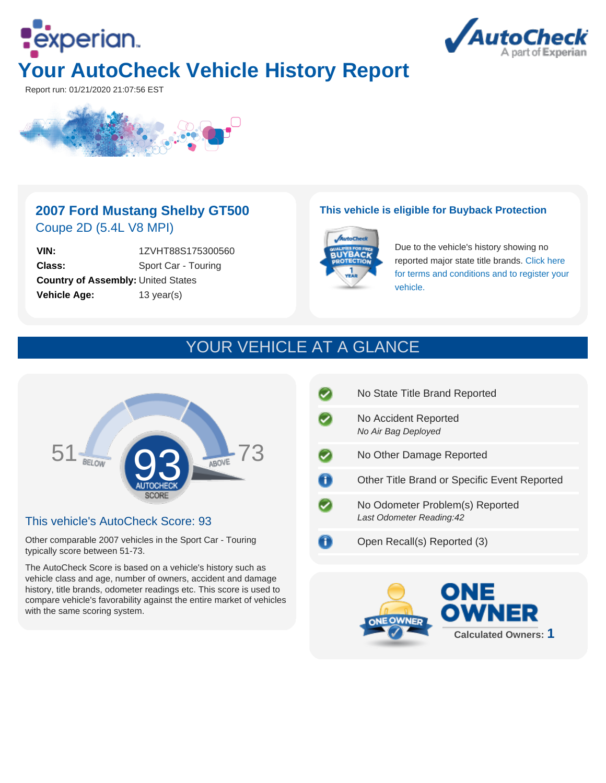



Report run: 01/21/2020 21:07:56 EST



### **2007 Ford Mustang Shelby GT500** Coupe 2D (5.4L V8 MPI)

**VIN:** 1ZVHT88S175300560 **Class:** Sport Car - Touring **Country of Assembly:** United States **Vehicle Age:** 13 year(s)

#### **This vehicle is eligible for Buyback Protection**



Due to the vehicle's history showing no reported major state title brands. [Click here](http://www.autocheck.com/vehiclehistory/autocheck/en/buyback-protection) [for terms and conditions and to register your](http://www.autocheck.com/vehiclehistory/autocheck/en/buyback-protection) [vehicle.](http://www.autocheck.com/vehiclehistory/autocheck/en/buyback-protection)

# YOUR VEHICLE AT A GLANCE



#### This vehicle's AutoCheck Score: 93

Other comparable 2007 vehicles in the Sport Car - Touring typically score between 51-73.

The AutoCheck Score is based on a vehicle's history such as vehicle class and age, number of owners, accident and damage history, title brands, odometer readings etc. This score is used to compare vehicle's favorability against the entire market of vehicles with the same scoring system.

| No State Title Brand Reported                                |
|--------------------------------------------------------------|
| No Accident Reported<br>No Air Bag Deployed                  |
| No Other Damage Reported                                     |
| Other Title Brand or Specific Event Reported                 |
| No Odometer Problem(s) Reported<br>Last Odometer Reading: 42 |
| Open Recall(s) Reported (3)                                  |

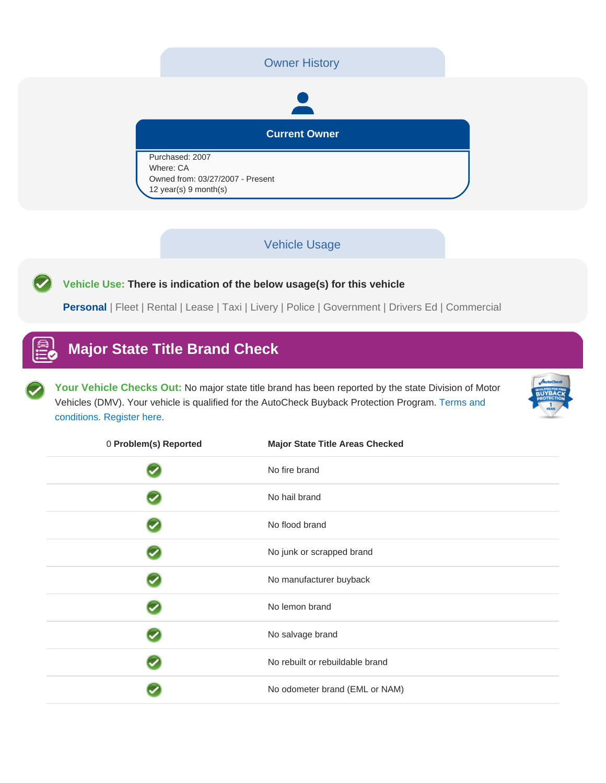#### Owner History

# **Current Owner**

Purchased: 2007 Where: CA Owned from: 03/27/2007 - Present 12 year(s) 9 month(s)

#### Vehicle Usage

**Vehicle Use: There is indication of the below usage(s) for this vehicle**

**Personal** | Fleet | Rental | Lease | Taxi | Livery | Police | Government | Drivers Ed | Commercial

## **Major State Title Brand Check**

Your Vehicle Checks Out: No major state title brand has been reported by the state Division of Motor Vehicles (DMV). Your vehicle is qualified for the AutoCheck Buyback Protection Program. [Terms and](http://www.autocheck.com/vehiclehistory/autocheck/en/buyback-protection) [conditions. Register here.](http://www.autocheck.com/vehiclehistory/autocheck/en/buyback-protection)



| 0 Problem(s) Reported | <b>Major State Title Areas Checked</b> |
|-----------------------|----------------------------------------|
|                       | No fire brand                          |
|                       | No hail brand                          |
|                       | No flood brand                         |
|                       | No junk or scrapped brand              |
|                       | No manufacturer buyback                |
|                       | No lemon brand                         |
|                       | No salvage brand                       |
|                       | No rebuilt or rebuildable brand        |
|                       | No odometer brand (EML or NAM)         |
|                       |                                        |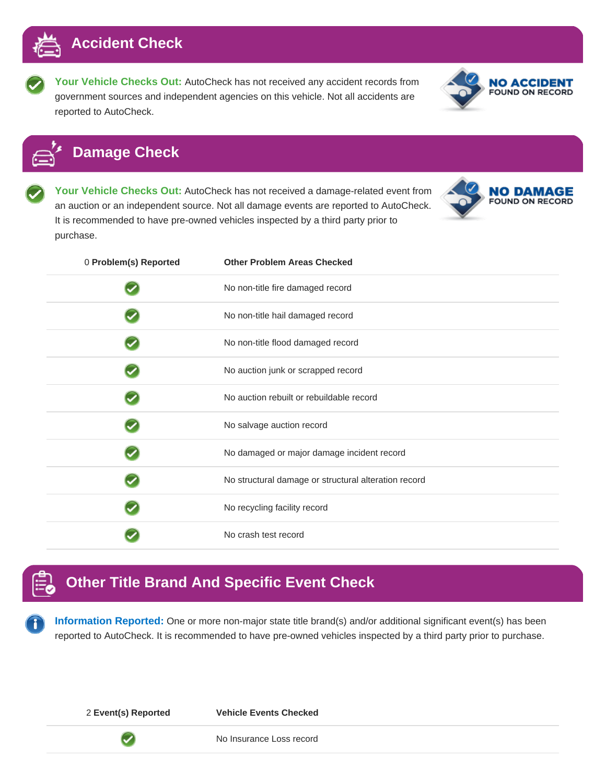

**Your Vehicle Checks Out:** AutoCheck has not received any accident records from government sources and independent agencies on this vehicle. Not all accidents are reported to AutoCheck.



**NO DAMAGE** FOUND ON RECORD

## **Damage Check**

**Your Vehicle Checks Out:** AutoCheck has not received a damage-related event from an auction or an independent source. Not all damage events are reported to AutoCheck. It is recommended to have pre-owned vehicles inspected by a third party prior to purchase.

| 0 Problem(s) Reported | <b>Other Problem Areas Checked</b>                   |
|-----------------------|------------------------------------------------------|
|                       | No non-title fire damaged record                     |
|                       | No non-title hail damaged record                     |
|                       | No non-title flood damaged record                    |
|                       | No auction junk or scrapped record                   |
|                       | No auction rebuilt or rebuildable record             |
|                       | No salvage auction record                            |
|                       | No damaged or major damage incident record           |
|                       | No structural damage or structural alteration record |
|                       | No recycling facility record                         |
|                       | No crash test record                                 |

## **Other Title Brand And Specific Event Check**

**Information Reported:** One or more non-major state title brand(s) and/or additional significant event(s) has been reported to AutoCheck. It is recommended to have pre-owned vehicles inspected by a third party prior to purchase.

Ō

2 **Event(s) Reported Vehicle Events Checked**

No Insurance Loss record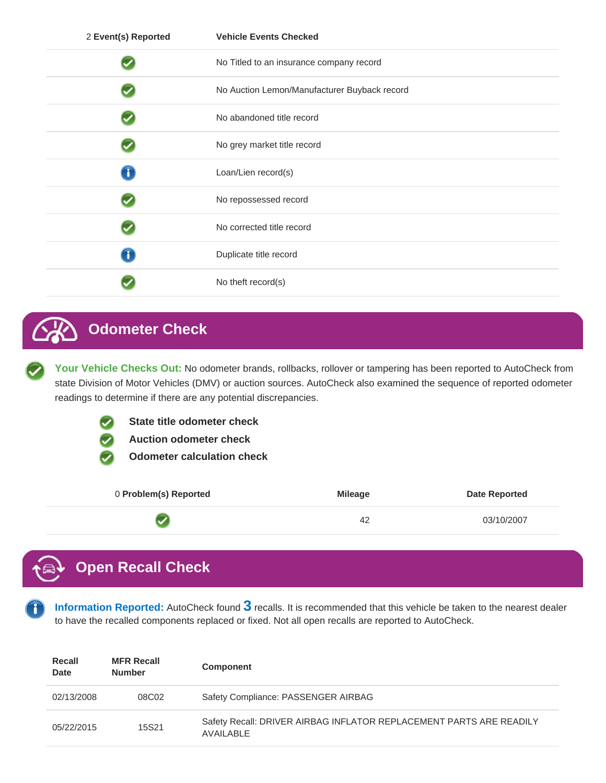| 2 Event(s) Reported | <b>Vehicle Events Checked</b>                |
|---------------------|----------------------------------------------|
|                     | No Titled to an insurance company record     |
|                     | No Auction Lemon/Manufacturer Buyback record |
|                     | No abandoned title record                    |
|                     | No grey market title record                  |
| Ħ                   | Loan/Lien record(s)                          |
|                     | No repossessed record                        |
|                     | No corrected title record                    |
| τ                   | Duplicate title record                       |
|                     | No theft record(s)                           |

# **Odometer Check**

**Your Vehicle Checks Out:** No odometer brands, rollbacks, rollover or tampering has been reported to AutoCheck from state Division of Motor Vehicles (DMV) or auction sources. AutoCheck also examined the sequence of reported odometer readings to determine if there are any potential discrepancies.

**State title odometer check**

**Auction odometer check**

**Odometer calculation check**

| 0 Problem(s) Reported | <b>Mileage</b> | <b>Date Reported</b> |
|-----------------------|----------------|----------------------|
|                       | 42             | 03/10/2007           |

# **Open Recall Check**

**Information Reported:** AutoCheck found **3** recalls. It is recommended that this vehicle be taken to the nearest dealer to have the recalled components replaced or fixed. Not all open recalls are reported to AutoCheck.

| Recall<br>Date | <b>MFR Recall</b><br><b>Number</b> | <b>Component</b>                                                                   |
|----------------|------------------------------------|------------------------------------------------------------------------------------|
| 02/13/2008     | 08C02                              | Safety Compliance: PASSENGER AIRBAG                                                |
| 05/22/2015     | 15S21                              | Safety Recall: DRIVER AIRBAG INFLATOR REPLACEMENT PARTS ARE READILY<br>AVAII ABI F |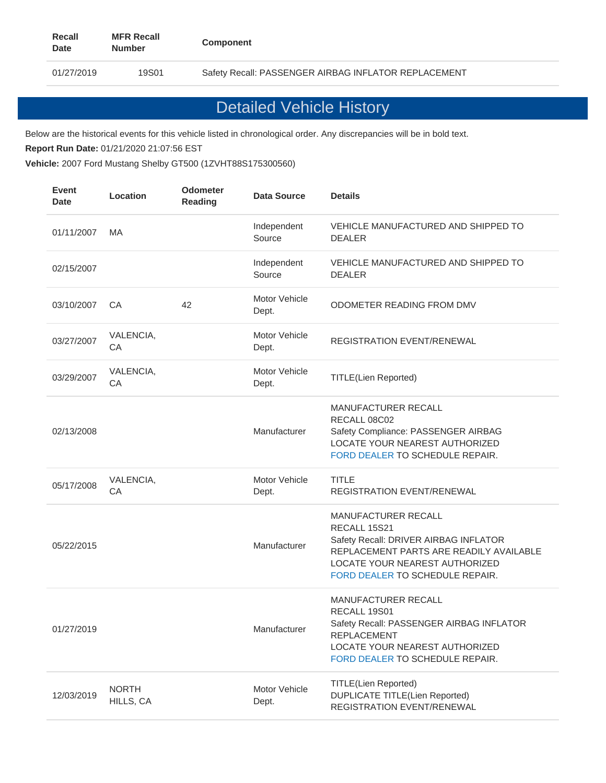01/27/2019 19S01 Safety Recall: PASSENGER AIRBAG INFLATOR REPLACEMENT

# Detailed Vehicle History

Below are the historical events for this vehicle listed in chronological order. Any discrepancies will be in bold text.

**Report Run Date:** 01/21/2020 21:07:56 EST

**Vehicle:** 2007 Ford Mustang Shelby GT500 (1ZVHT88S175300560)

| <b>Event</b><br><b>Date</b> | Location                  | <b>Odometer</b><br><b>Reading</b> | <b>Data Source</b>     | <b>Details</b>                                                                                                                                                                               |
|-----------------------------|---------------------------|-----------------------------------|------------------------|----------------------------------------------------------------------------------------------------------------------------------------------------------------------------------------------|
| 01/11/2007                  | MA                        |                                   | Independent<br>Source  | VEHICLE MANUFACTURED AND SHIPPED TO<br><b>DEALER</b>                                                                                                                                         |
| 02/15/2007                  |                           |                                   | Independent<br>Source  | VEHICLE MANUFACTURED AND SHIPPED TO<br><b>DEALER</b>                                                                                                                                         |
| 03/10/2007                  | CA                        | 42                                | Motor Vehicle<br>Dept. | ODOMETER READING FROM DMV                                                                                                                                                                    |
| 03/27/2007                  | VALENCIA,<br>CA           |                                   | Motor Vehicle<br>Dept. | <b>REGISTRATION EVENT/RENEWAL</b>                                                                                                                                                            |
| 03/29/2007                  | VALENCIA,<br>CA           |                                   | Motor Vehicle<br>Dept. | <b>TITLE(Lien Reported)</b>                                                                                                                                                                  |
| 02/13/2008                  |                           |                                   | Manufacturer           | MANUFACTURER RECALL<br>RECALL 08C02<br>Safety Compliance: PASSENGER AIRBAG<br>LOCATE YOUR NEAREST AUTHORIZED<br>FORD DEALER TO SCHEDULE REPAIR.                                              |
| 05/17/2008                  | VALENCIA,<br>CA           |                                   | Motor Vehicle<br>Dept. | <b>TITLE</b><br><b>REGISTRATION EVENT/RENEWAL</b>                                                                                                                                            |
| 05/22/2015                  |                           |                                   | Manufacturer           | MANUFACTURER RECALL<br>RECALL 15S21<br>Safety Recall: DRIVER AIRBAG INFLATOR<br>REPLACEMENT PARTS ARE READILY AVAILABLE<br>LOCATE YOUR NEAREST AUTHORIZED<br>FORD DEALER TO SCHEDULE REPAIR. |
| 01/27/2019                  |                           |                                   | Manufacturer           | MANUFACTURER RECALL<br>RECALL 19S01<br>Safety Recall: PASSENGER AIRBAG INFLATOR<br><b>REPLACEMENT</b><br>LOCATE YOUR NEAREST AUTHORIZED<br>FORD DEALER TO SCHEDULE REPAIR.                   |
| 12/03/2019                  | <b>NORTH</b><br>HILLS, CA |                                   | Motor Vehicle<br>Dept. | <b>TITLE(Lien Reported)</b><br><b>DUPLICATE TITLE(Lien Reported)</b><br>REGISTRATION EVENT/RENEWAL                                                                                           |